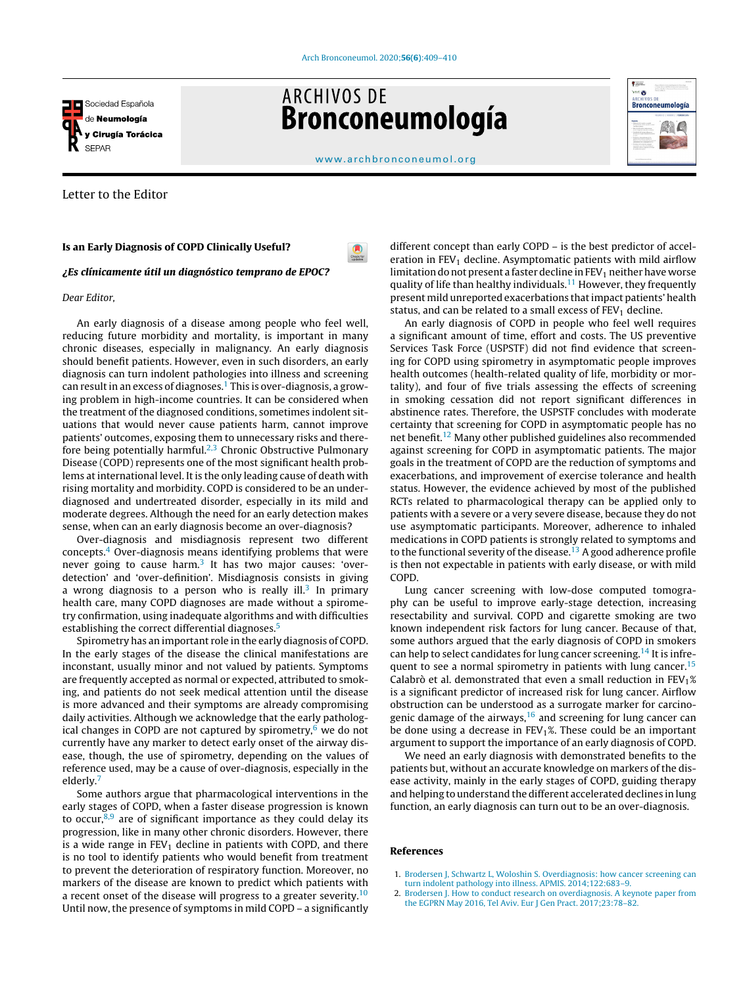

# **ARCHIVOS DE** Bronconeumología



[www.archbronconeumol.org](http://www.archbronconeumol.org)

 $\bullet$ 

# Letter to the Editor

### Is an Early Diagnosis of COPD Clinically Useful?

¿Es clínicamente útil un diagnóstico temprano de EPOC?

#### Dear Editor,

An early diagnosis of a disease among people who feel well, reducing future morbidity and mortality, is important in many chronic diseases, especially in malignancy. An early diagnosis should benefit patients. However, even in such disorders, an early diagnosis can turn indolent pathologies into illness and screening can result in an excess of diagnoses.<sup>1</sup> This is over-diagnosis, a growing problem in high-income countries. It can be considered when the treatment of the diagnosed conditions, sometimes indolent situations that would never cause patients harm, cannot improve patients' outcomes, exposing them to unnecessary risks and therefore being potentially harmful.<sup>2,3</sup> Chronic Obstructive Pulmonary Disease (COPD) represents one of the most significant health problems at international level. It is the only leading cause of death with rising mortality and morbidity. COPD is considered to be an underdiagnosed and undertreated disorder, especially in its mild and moderate degrees. Although the need for an early detection makes sense, when can an early diagnosis become an over-diagnosis?

Over-diagnosis and misdiagnosis represent two different concepts. $4$  Over-diagnosis means identifying problems that were never going to cause harm.<sup>[3](#page-1-0)</sup> It has two major causes: 'overdetection' and 'over-definition'. Misdiagnosis consists in giving a wrong diagnosis to a person who is really ill.<sup>[3](#page-1-0)</sup> In primary health care, many COPD diagnoses are made without a spirometry confirmation, using inadequate algorithms and with difficulties establishing the correct differential diagnoses.<sup>[5](#page-1-0)</sup>

Spirometry has an important role in the early diagnosis of COPD. In the early stages of the disease the clinical manifestations are inconstant, usually minor and not valued by patients. Symptoms are frequently accepted as normal or expected, attributed to smoking, and patients do not seek medical attention until the disease is more advanced and their symptoms are already compromising daily activities. Although we acknowledge that the early pathological changes in COPD are not captured by spirometry, $6 \text{ we do not}$  $6 \text{ we do not}$ currently have any marker to detect early onset of the airway disease, though, the use of spirometry, depending on the values of reference used, may be a cause of over-diagnosis, especially in the elderly.[7](#page-1-0)

Some authors argue that pharmacological interventions in the early stages of COPD, when a faster disease progression is known to occur, $8,9$  are of significant importance as they could delay its progression, like in many other chronic disorders. However, there is a wide range in  $FEV<sub>1</sub>$  decline in patients with COPD, and there is no tool to identify patients who would benefit from treatment to prevent the deterioration of respiratory function. Moreover, no markers of the disease are known to predict which patients with a recent onset of the disease will progress to a greater severity.<sup>[10](#page-1-0)</sup> Until now, the presence of symptoms in mild COPD – a significantly different concept than early COPD – is the best predictor of acceleration in  $FEV<sub>1</sub>$  decline. Asymptomatic patients with mild airflow limitation do not present a faster decline in  $FEV<sub>1</sub>$  neither have worse quality of life than healthy individuals.<sup>[11](#page-1-0)</sup> However, they frequently present mild unreported exacerbations thatimpact patients' health status, and can be related to a small excess of  $FEV<sub>1</sub>$  decline.

An early diagnosis of COPD in people who feel well requires a significant amount of time, effort and costs. The US preventive Services Task Force (USPSTF) did not find evidence that screening for COPD using spirometry in asymptomatic people improves health outcomes (health-related quality of life, morbidity or mortality), and four of five trials assessing the effects of screening in smoking cessation did not report significant differences in abstinence rates. Therefore, the USPSTF concludes with moderate certainty that screening for COPD in asymptomatic people has no net benefit.[12](#page-1-0) Many other published guidelines also recommended against screening for COPD in asymptomatic patients. The major goals in the treatment of COPD are the reduction of symptoms and exacerbations, and improvement of exercise tolerance and health status. However, the evidence achieved by most of the published RCTs related to pharmacological therapy can be applied only to patients with a severe or a very severe disease, because they do not use asymptomatic participants. Moreover, adherence to inhaled medications in COPD patients is strongly related to symptoms and to the functional severity of the disease.<sup>[13](#page-1-0)</sup> A good adherence profile is then not expectable in patients with early disease, or with mild COPD.

Lung cancer screening with low-dose computed tomography can be useful to improve early-stage detection, increasing resectability and survival. COPD and cigarette smoking are two known independent risk factors for lung cancer. Because of that, some authors argued that the early diagnosis of COPD in smokers can help to select candidates for lung cancer screening.<sup>[14](#page-1-0)</sup> It is infre-quent to see a normal spirometry in patients with lung cancer.<sup>[15](#page-1-0)</sup> Calabrò et al. demonstrated that even a small reduction in  $FEV<sub>1</sub>%$ is a significant predictor of increased risk for lung cancer. Airflow obstruction can be understood as a surrogate marker for carcinogenic damage of the airways, $16$  and screening for lung cancer can be done using a decrease in  $FEV<sub>1</sub>%$ . These could be an important argument to support the importance of an early diagnosis of COPD.

We need an early diagnosis with demonstrated benefits to the patients but, without an accurate knowledge on markers of the disease activity, mainly in the early stages of COPD, guiding therapy and helping to understand the different accelerated declines in lung function, an early diagnosis can turn out to be an over-diagnosis.

## References

- 1. [Brodersen](http://refhub.elsevier.com/S0300-2896(19)30593-9/sbref0085) [J,](http://refhub.elsevier.com/S0300-2896(19)30593-9/sbref0085) [Schwartz](http://refhub.elsevier.com/S0300-2896(19)30593-9/sbref0085) [L,](http://refhub.elsevier.com/S0300-2896(19)30593-9/sbref0085) [Woloshin](http://refhub.elsevier.com/S0300-2896(19)30593-9/sbref0085) [S.](http://refhub.elsevier.com/S0300-2896(19)30593-9/sbref0085) [Overdiagnosis:](http://refhub.elsevier.com/S0300-2896(19)30593-9/sbref0085) [how](http://refhub.elsevier.com/S0300-2896(19)30593-9/sbref0085) [cancer](http://refhub.elsevier.com/S0300-2896(19)30593-9/sbref0085) [screening](http://refhub.elsevier.com/S0300-2896(19)30593-9/sbref0085) [can](http://refhub.elsevier.com/S0300-2896(19)30593-9/sbref0085) [turn](http://refhub.elsevier.com/S0300-2896(19)30593-9/sbref0085) [indolent](http://refhub.elsevier.com/S0300-2896(19)30593-9/sbref0085) [pathology](http://refhub.elsevier.com/S0300-2896(19)30593-9/sbref0085) [into](http://refhub.elsevier.com/S0300-2896(19)30593-9/sbref0085) [illness.](http://refhub.elsevier.com/S0300-2896(19)30593-9/sbref0085) [APMIS.](http://refhub.elsevier.com/S0300-2896(19)30593-9/sbref0085) [2014;122:683–9.](http://refhub.elsevier.com/S0300-2896(19)30593-9/sbref0085)
- 2. [Brodersen](http://refhub.elsevier.com/S0300-2896(19)30593-9/sbref0090) [J.](http://refhub.elsevier.com/S0300-2896(19)30593-9/sbref0090) [How](http://refhub.elsevier.com/S0300-2896(19)30593-9/sbref0090) [to](http://refhub.elsevier.com/S0300-2896(19)30593-9/sbref0090) [conduct](http://refhub.elsevier.com/S0300-2896(19)30593-9/sbref0090) [research](http://refhub.elsevier.com/S0300-2896(19)30593-9/sbref0090) [on](http://refhub.elsevier.com/S0300-2896(19)30593-9/sbref0090) [overdiagnosis.](http://refhub.elsevier.com/S0300-2896(19)30593-9/sbref0090) [A](http://refhub.elsevier.com/S0300-2896(19)30593-9/sbref0090) [keynote](http://refhub.elsevier.com/S0300-2896(19)30593-9/sbref0090) [paper](http://refhub.elsevier.com/S0300-2896(19)30593-9/sbref0090) [from](http://refhub.elsevier.com/S0300-2896(19)30593-9/sbref0090) [the](http://refhub.elsevier.com/S0300-2896(19)30593-9/sbref0090) [EGPRN](http://refhub.elsevier.com/S0300-2896(19)30593-9/sbref0090) [May](http://refhub.elsevier.com/S0300-2896(19)30593-9/sbref0090) [2016,](http://refhub.elsevier.com/S0300-2896(19)30593-9/sbref0090) [Tel](http://refhub.elsevier.com/S0300-2896(19)30593-9/sbref0090) [Aviv.](http://refhub.elsevier.com/S0300-2896(19)30593-9/sbref0090) [Eur](http://refhub.elsevier.com/S0300-2896(19)30593-9/sbref0090) [J](http://refhub.elsevier.com/S0300-2896(19)30593-9/sbref0090) [Gen](http://refhub.elsevier.com/S0300-2896(19)30593-9/sbref0090) [Pract.](http://refhub.elsevier.com/S0300-2896(19)30593-9/sbref0090) [2017;23:78](http://refhub.elsevier.com/S0300-2896(19)30593-9/sbref0090)–[82.](http://refhub.elsevier.com/S0300-2896(19)30593-9/sbref0090)